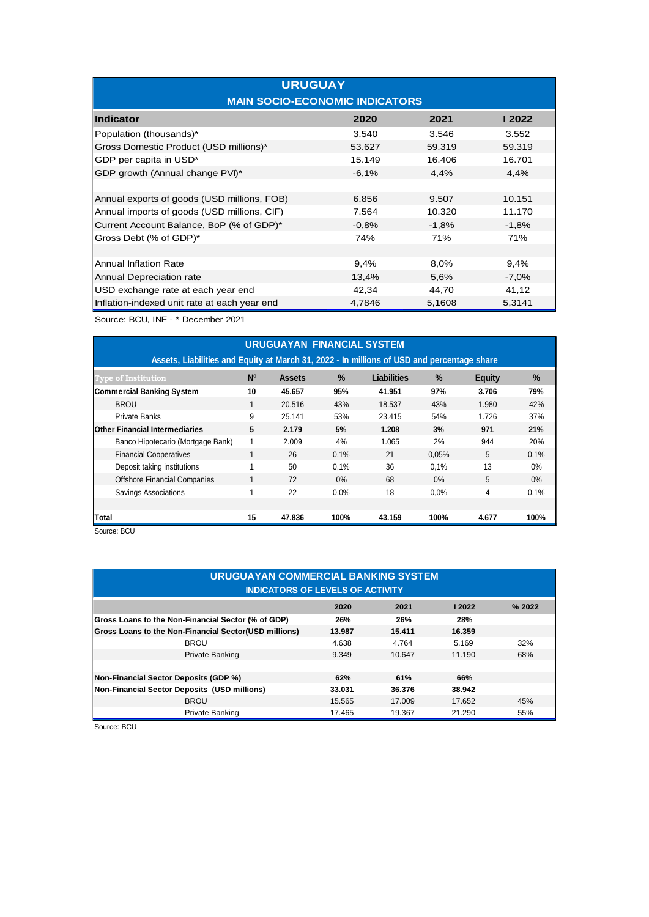| <b>URUGUAY</b><br><b>MAIN SOCIO-ECONOMIC INDICATORS</b> |         |         |         |  |  |  |
|---------------------------------------------------------|---------|---------|---------|--|--|--|
| <b>Indicator</b>                                        | 2020    | 2021    | l 2022  |  |  |  |
| Population (thousands)*                                 | 3.540   | 3.546   | 3.552   |  |  |  |
| Gross Domestic Product (USD millions)*                  | 53.627  | 59.319  | 59.319  |  |  |  |
| GDP per capita in USD*                                  | 15.149  | 16.406  | 16.701  |  |  |  |
| GDP growth (Annual change PVI)*                         | $-6,1%$ | 4,4%    | 4,4%    |  |  |  |
|                                                         |         |         |         |  |  |  |
| Annual exports of goods (USD millions, FOB)             | 6.856   | 9.507   | 10.151  |  |  |  |
| Annual imports of goods (USD millions, CIF)             | 7.564   | 10.320  | 11.170  |  |  |  |
| Current Account Balance, BoP (% of GDP)*                | $-0.8%$ | $-1,8%$ | $-1,8%$ |  |  |  |
| Gross Debt (% of GDP)*                                  | 74%     | 71%     | 71%     |  |  |  |
|                                                         |         |         |         |  |  |  |
| <b>Annual Inflation Rate</b>                            | 9,4%    | 8,0%    | 9,4%    |  |  |  |
| Annual Depreciation rate                                | 13,4%   | 5,6%    | $-7,0%$ |  |  |  |
| USD exchange rate at each year end                      | 42,34   | 44,70   | 41,12   |  |  |  |
| Inflation-indexed unit rate at each year end            | 4,7846  | 5,1608  | 5,3141  |  |  |  |

Source: BCU, INE - \* December 2021

| <b>URUGUAYAN FINANCIAL SYSTEM</b>                                                          |                |               |       |             |               |               |       |
|--------------------------------------------------------------------------------------------|----------------|---------------|-------|-------------|---------------|---------------|-------|
| Assets, Liabilities and Equity at March 31, 2022 - In millions of USD and percentage share |                |               |       |             |               |               |       |
| <b>Type of Institution</b>                                                                 | N <sup>o</sup> | <b>Assets</b> | $\%$  | Liabilities | $\frac{9}{6}$ | <b>Equity</b> | $\%$  |
| <b>Commercial Banking System</b>                                                           | 10             | 45.657        | 95%   | 41.951      | 97%           | 3.706         | 79%   |
| <b>BROU</b>                                                                                |                | 20.516        | 43%   | 18.537      | 43%           | 1.980         | 42%   |
| <b>Private Banks</b>                                                                       | 9              | 25.141        | 53%   | 23.415      | 54%           | 1.726         | 37%   |
| <b>Other Financial Intermediaries</b>                                                      | 5              | 2.179         | 5%    | 1.208       | 3%            | 971           | 21%   |
| Banco Hipotecario (Mortgage Bank)                                                          |                | 2.009         | 4%    | 1.065       | 2%            | 944           | 20%   |
| <b>Financial Cooperatives</b>                                                              |                | 26            | 0.1%  | 21          | 0.05%         | 5             | 0.1%  |
| Deposit taking institutions                                                                |                | 50            | 0.1%  | 36          | 0.1%          | 13            | $0\%$ |
| <b>Offshore Financial Companies</b>                                                        |                | 72            | $0\%$ | 68          | 0%            | 5             | 0%    |
| Savings Associations                                                                       |                | 22            | 0.0%  | 18          | 0.0%          | 4             | 0.1%  |
|                                                                                            |                |               |       |             |               |               |       |
| Total                                                                                      | 15             | 47.836        | 100%  | 43.159      | 100%          | 4.677         | 100%  |
| Source: BCU                                                                                |                |               |       |             |               |               |       |

| URUGUAYAN COMMERCIAL BANKING SYSTEM<br><b>INDICATORS OF LEVELS OF ACTIVITY</b> |                                   |        |        |       |  |  |  |
|--------------------------------------------------------------------------------|-----------------------------------|--------|--------|-------|--|--|--|
|                                                                                | 2020                              | 2021   | 2022   | %2022 |  |  |  |
| Gross Loans to the Non-Financial Sector (% of GDP)                             | 26%                               | 26%    | 28%    |       |  |  |  |
| Gross Loans to the Non-Financial Sector(USD millions)                          | 13.987                            | 15.411 | 16.359 |       |  |  |  |
| <b>BROU</b>                                                                    | 4.638                             | 4.764  | 5.169  | 32%   |  |  |  |
| Private Banking                                                                | 9.349                             | 10.647 | 11.190 | 68%   |  |  |  |
|                                                                                |                                   |        |        |       |  |  |  |
| <b>Non-Financial Sector Deposits (GDP %)</b>                                   | 62%                               | 61%    | 66%    |       |  |  |  |
| Non-Financial Sector Deposits (USD millions)                                   | 33.031                            | 36.376 | 38.942 |       |  |  |  |
| <b>BROU</b>                                                                    | 15.565                            | 17.009 | 17.652 | 45%   |  |  |  |
| Private Banking                                                                | 17.465<br>21.290<br>55%<br>19.367 |        |        |       |  |  |  |

Source: BCU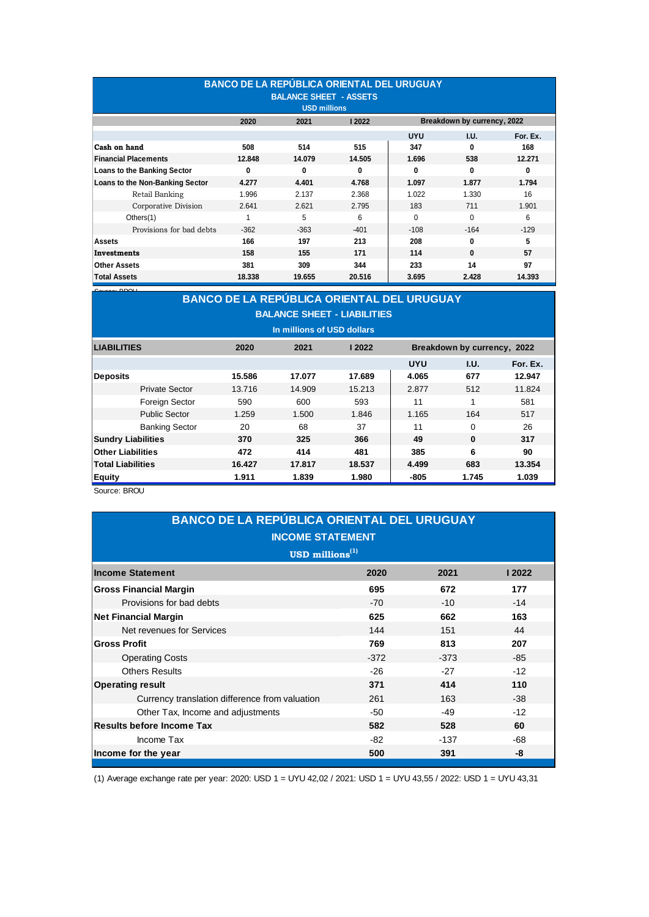| <b>BANCO DE LA REPÚBLICA ORIENTAL DEL URUGUAY</b><br><b>BALANCE SHEET - ASSETS</b><br><b>USD millions</b> |                                      |        |          |            |                             |          |
|-----------------------------------------------------------------------------------------------------------|--------------------------------------|--------|----------|------------|-----------------------------|----------|
|                                                                                                           | 2020                                 | 2021   | 12022    |            | Breakdown by currency, 2022 |          |
|                                                                                                           |                                      |        |          | <b>UYU</b> | I.U.                        | For. Ex. |
| Cash on hand                                                                                              | 508                                  | 514    | 515      | 347        | 0                           | 168      |
| <b>Financial Placements</b>                                                                               | 12.848                               | 14.079 | 14.505   | 1.696      | 538                         | 12.271   |
| Loans to the Banking Sector                                                                               | $\mathbf{0}$                         | 0      | $\Omega$ | 0          | $\mathbf{0}$                | 0        |
| Loans to the Non-Banking Sector                                                                           | 4.277                                | 4.401  | 4.768    | 1.097      | 1.877                       | 1.794    |
| Retail Banking                                                                                            | 1.996                                | 2.137  | 2.368    | 1.022      | 1.330                       | 16       |
| Corporative Division                                                                                      | 2.641                                | 2.621  | 2.795    | 183        | 711                         | 1.901    |
| Others $(1)$                                                                                              |                                      | 5      | 6        | $\Omega$   | $\Omega$                    | 6        |
| Provisions for bad debts                                                                                  | $-362$                               | $-363$ | $-401$   | $-108$     | $-164$                      | $-129$   |
| Assets                                                                                                    | 166                                  | 197    | 213      | 208        | 0                           | 5        |
| Investments                                                                                               | 158                                  | 155    | 171      | 114        | $\bf{0}$                    | 57       |
| <b>Other Assets</b>                                                                                       | 97<br>344<br>233<br>14<br>381<br>309 |        |          |            |                             |          |
| <b>Total Assets</b>                                                                                       | 18.338                               | 19.655 | 20.516   | 3.695      | 2.428                       | 14.393   |

|                                                                        | Cause DDOLL<br><b>BANCO DE LA REPÚBLICA ORIENTAL DEL URUGUAY</b> |        |        |        |            |                             |          |  |  |
|------------------------------------------------------------------------|------------------------------------------------------------------|--------|--------|--------|------------|-----------------------------|----------|--|--|
|                                                                        |                                                                  |        |        |        |            |                             |          |  |  |
|                                                                        | <b>BALANCE SHEET - LIABILITIES</b>                               |        |        |        |            |                             |          |  |  |
|                                                                        | In millions of USD dollars                                       |        |        |        |            |                             |          |  |  |
| <b>LIABILITIES</b>                                                     |                                                                  | 2020   | 2021   | 2022   |            | Breakdown by currency, 2022 |          |  |  |
|                                                                        |                                                                  |        |        |        | <b>UYU</b> | I.U.                        | For. Ex. |  |  |
| <b>Deposits</b>                                                        |                                                                  | 15.586 | 17.077 | 17.689 | 4.065      | 677                         | 12.947   |  |  |
|                                                                        | <b>Private Sector</b>                                            | 13.716 | 14.909 | 15.213 | 2.877      | 512                         | 11.824   |  |  |
|                                                                        | Foreign Sector                                                   | 590    | 600    | 593    | 11         | 1                           | 581      |  |  |
|                                                                        | <b>Public Sector</b>                                             | 1.259  | 1.500  | 1.846  | 1.165      | 164                         | 517      |  |  |
|                                                                        | <b>Banking Sector</b>                                            | 20     | 68     | 37     | 11         | $\Omega$                    | 26       |  |  |
|                                                                        | <b>Sundry Liabilities</b>                                        | 370    | 325    | 366    | 49         | $\bf{0}$                    | 317      |  |  |
|                                                                        | <b>Other Liabilities</b>                                         | 472    | 414    | 481    | 385        | 6                           | 90       |  |  |
| <b>Total Liabilities</b><br>16.427<br>17.817<br>18.537<br>4.499<br>683 |                                                                  |        |        |        |            | 13.354                      |          |  |  |
| <b>Equity</b>                                                          | 1.911<br>1.745<br>1.839<br>1.980<br>-805<br>1.039                |        |        |        |            |                             |          |  |  |

Source: BROU

| <b>BANCO DE LA REPÚBLICA ORIENTAL DEL URUGUAY</b><br><b>INCOME STATEMENT</b> |        |        |       |  |  |
|------------------------------------------------------------------------------|--------|--------|-------|--|--|
| USD millions $^{(1)}$                                                        |        |        |       |  |  |
| <b>Income Statement</b>                                                      | 2020   | 2021   | 12022 |  |  |
| <b>Gross Financial Margin</b>                                                | 695    | 672    | 177   |  |  |
| Provisions for bad debts                                                     | $-70$  | $-10$  | $-14$ |  |  |
| <b>Net Financial Margin</b>                                                  | 625    | 662    | 163   |  |  |
| Net revenues for Services                                                    | 144    | 151    | 44    |  |  |
| <b>Gross Profit</b>                                                          | 769    | 813    | 207   |  |  |
| <b>Operating Costs</b>                                                       | $-372$ | $-373$ | $-85$ |  |  |
| <b>Others Results</b>                                                        | $-26$  | $-27$  | $-12$ |  |  |
| <b>Operating result</b>                                                      | 371    | 414    | 110   |  |  |
| Currency translation difference from valuation                               | 261    | 163    | $-38$ |  |  |
| Other Tax, Income and adjustments                                            | -50    | $-49$  | $-12$ |  |  |
| <b>Results before Income Tax</b>                                             | 582    | 528    | 60    |  |  |
| Income Tax                                                                   | -82    | $-137$ | -68   |  |  |
| Income for the year<br>500<br>391<br>-8                                      |        |        |       |  |  |

(1) Average exchange rate per year: 2020: USD 1 = UYU 42,02 / 2021: USD 1 = UYU 43,55 / 2022: USD 1 = UYU 43,31